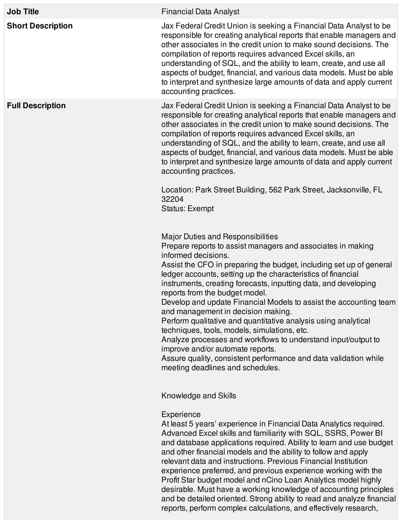| <b>Job Title</b>         | <b>Financial Data Analyst</b>                                                                                                                                                                                                                                                                                                                                                                                                                                                                                                                                                                                                                                                                                                                                                                                        |
|--------------------------|----------------------------------------------------------------------------------------------------------------------------------------------------------------------------------------------------------------------------------------------------------------------------------------------------------------------------------------------------------------------------------------------------------------------------------------------------------------------------------------------------------------------------------------------------------------------------------------------------------------------------------------------------------------------------------------------------------------------------------------------------------------------------------------------------------------------|
| <b>Short Description</b> | Jax Federal Credit Union is seeking a Financial Data Analyst to be<br>responsible for creating analytical reports that enable managers and<br>other associates in the credit union to make sound decisions. The<br>compilation of reports requires advanced Excel skills, an<br>understanding of SQL, and the ability to learn, create, and use all<br>aspects of budget, financial, and various data models. Must be able<br>to interpret and synthesize large amounts of data and apply current<br>accounting practices.                                                                                                                                                                                                                                                                                           |
| <b>Full Description</b>  | Jax Federal Credit Union is seeking a Financial Data Analyst to be<br>responsible for creating analytical reports that enable managers and<br>other associates in the credit union to make sound decisions. The<br>compilation of reports requires advanced Excel skills, an<br>understanding of SQL, and the ability to learn, create, and use all<br>aspects of budget, financial, and various data models. Must be able<br>to interpret and synthesize large amounts of data and apply current<br>accounting practices.<br>Location: Park Street Building, 562 Park Street, Jacksonville, FL<br>32204<br><b>Status: Exempt</b>                                                                                                                                                                                    |
|                          | <b>Major Duties and Responsibilities</b><br>Prepare reports to assist managers and associates in making<br>informed decisions.<br>Assist the CFO in preparing the budget, including set up of general<br>ledger accounts, setting up the characteristics of financial<br>instruments, creating forecasts, inputting data, and developing<br>reports from the budget model.<br>Develop and update Financial Models to assist the accounting team<br>and management in decision making.<br>Perform qualitative and quantitative analysis using analytical<br>techniques, tools, models, simulations, etc.<br>Analyze processes and workflows to understand input/output to<br>improve and/or automate reports.<br>Assure quality, consistent performance and data validation while<br>meeting deadlines and schedules. |
|                          | Knowledge and Skills<br>Experience<br>At least 5 years' experience in Financial Data Analytics required.<br>Advanced Excel skills and familiarity with SQL, SSRS, Power BI<br>and database applications required. Ability to learn and use budget<br>and other financial models and the ability to follow and apply<br>relevant data and instructions. Previous Financial Institution<br>experience preferred, and previous experience working with the<br>Profit Star budget model and nCino Loan Analytics model highly<br>desirable. Must have a working knowledge of accounting principles                                                                                                                                                                                                                       |

and be detailed oriented. Strong ability to read and analyze financial reports, perform complex calculations, and effectively research,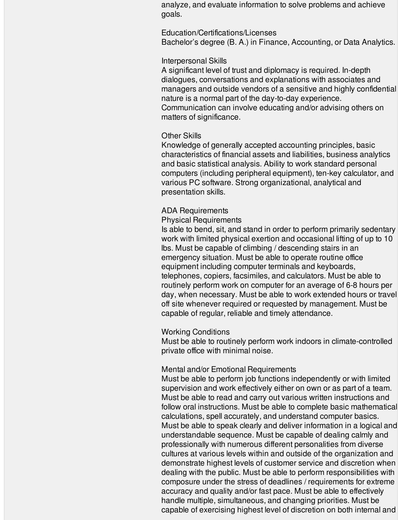analyze, and evaluate information to solve problems and achieve goals.

#### Education/Certifications/Licenses

Bachelor's degree (B. A.) in Finance, Accounting, or Data Analytics.

### Interpersonal Skills

A significant level of trust and diplomacy is required. In-depth dialogues, conversations and explanations with associates and managers and outside vendors of a sensitive and highly confidential nature is a normal part of the day-to-day experience. Communication can involve educating and/or advising others on matters of significance.

## Other Skills

Knowledge of generally accepted accounting principles, basic characteristics of financial assets and liabilities, business analytics and basic statistical analysis. Ability to work standard personal computers (including peripheral equipment), ten-key calculator, and various PC software. Strong organizational, analytical and presentation skills.

# ADA Requirements

### Physical Requirements

Is able to bend, sit, and stand in order to perform primarily sedentary work with limited physical exertion and occasional lifting of up to 10 lbs. Must be capable of climbing / descending stairs in an emergency situation. Must be able to operate routine office equipment including computer terminals and keyboards, telephones, copiers, facsimiles, and calculators. Must be able to routinely perform work on computer for an average of 6-8 hours per day, when necessary. Must be able to work extended hours or travel off site whenever required or requested by management. Must be capable of regular, reliable and timely attendance.

### Working Conditions

Must be able to routinely perform work indoors in climate-controlled private office with minimal noise.

### Mental and/or Emotional Requirements

Must be able to perform job functions independently or with limited supervision and work effectively either on own or as part of a team. Must be able to read and carry out various written instructions and follow oral instructions. Must be able to complete basic mathematical calculations, spell accurately, and understand computer basics. Must be able to speak clearly and deliver information in a logical and understandable sequence. Must be capable of dealing calmly and professionally with numerous different personalities from diverse cultures at various levels within and outside of the organization and demonstrate highest levels of customer service and discretion when dealing with the public. Must be able to perform responsibilities with composure under the stress of deadlines / requirements for extreme accuracy and quality and/or fast pace. Must be able to effectively handle multiple, simultaneous, and changing priorities. Must be capable of exercising highest level of discretion on both internal and